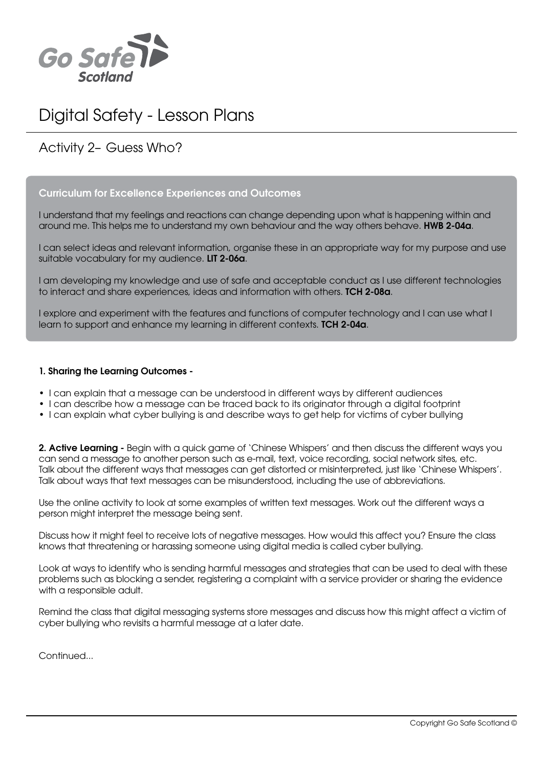

# Digital Safety - Lesson Plans

# Activity 2– Guess Who?

# Curriculum for Excellence Experiences and Outcomes

I understand that my feelings and reactions can change depending upon what is happening within and around me. This helps me to understand my own behaviour and the way others behave. HWB 2-04a.

I can select ideas and relevant information, organise these in an appropriate way for my purpose and use suitable vocabulary for my audience. **LIT 2-06a**.

I am developing my knowledge and use of safe and acceptable conduct as I use different technologies to interact and share experiences, ideas and information with others. TCH 2-08a.

I explore and experiment with the features and functions of computer technology and I can use what I learn to support and enhance my learning in different contexts. **TCH 2-04a**.

#### 1. Sharing the Learning Outcomes -

- I can explain that a message can be understood in different ways by different audiences
- I can describe how a message can be traced back to its originator through a digital footprint
- I can explain what cyber bullying is and describe ways to get help for victims of cyber bullying

2. Active Learning - Begin with a quick game of 'Chinese Whispers' and then discuss the different ways you can send a message to another person such as e-mail, text, voice recording, social network sites, etc. Talk about the different ways that messages can get distorted or misinterpreted, just like 'Chinese Whispers'. Talk about ways that text messages can be misunderstood, including the use of abbreviations.

Use the online activity to look at some examples of written text messages. Work out the different ways a person might interpret the message being sent.

Discuss how it might feel to receive lots of negative messages. How would this affect you? Ensure the class knows that threatening or harassing someone using digital media is called cyber bullying.

Look at ways to identify who is sending harmful messages and strategies that can be used to deal with these problems such as blocking a sender, registering a complaint with a service provider or sharing the evidence with a responsible adult.

Remind the class that digital messaging systems store messages and discuss how this might affect a victim of cyber bullying who revisits a harmful message at a later date.

Continued...